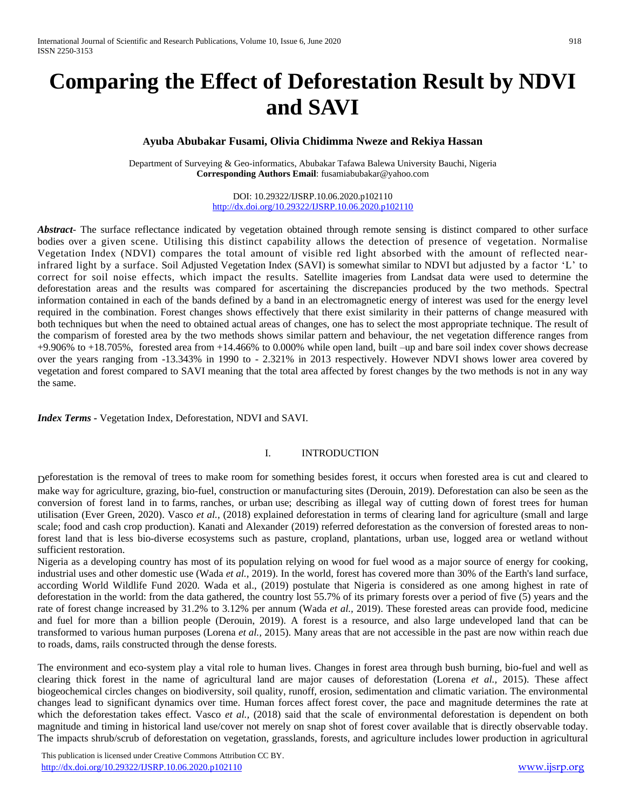# **Comparing the Effect of Deforestation Result by NDVI and SAVI**

# **Ayuba Abubakar Fusami, Olivia Chidimma Nweze and Rekiya Hassan**

Department of Surveying & Geo-informatics, Abubakar Tafawa Balewa University Bauchi, Nigeria **Corresponding Authors Email**: [fusamiabubakar@yahoo.com](mailto:fusamiabubakar@yahoo.com)

> DOI: 10.29322/IJSRP.10.06.2020.p102110 <http://dx.doi.org/10.29322/IJSRP.10.06.2020.p102110>

*Abstract*<sup>-</sup> The surface reflectance indicated by vegetation obtained through remote sensing is distinct compared to other surface bodies over a given scene. Utilising this distinct capability allows the detection of presence of vegetation. Normalise Vegetation Index (NDVI) compares the total amount of visible red light absorbed with the amount of reflected nearinfrared light by a surface. Soil Adjusted Vegetation Index (SAVI) is somewhat similar to NDVI but adjusted by a factor 'L' to correct for soil noise effects, which impact the results. Satellite imageries from Landsat data were used to determine the deforestation areas and the results was compared for ascertaining the discrepancies produced by the two methods. Spectral information contained in each of the bands defined by a band in an electromagnetic energy of interest was used for the energy level required in the combination. Forest changes shows effectively that there exist similarity in their patterns of change measured with both techniques but when the need to obtained actual areas of changes, one has to select the most appropriate technique. The result of the comparism of forested area by the two methods shows similar pattern and behaviour, the net vegetation difference ranges from +9.906% to +18.705%, forested area from +14.466% to 0.000% while open land, built –up and bare soil index cover shows decrease over the years ranging from -13.343% in 1990 to - 2.321% in 2013 respectively. However NDVI shows lower area covered by vegetation and forest compared to SAVI meaning that the total area affected by forest changes by the two methods is not in any way the same.

*Index Terms -* Vegetation Index, Deforestation, NDVI and SAVI.

### I. INTRODUCTION

Deforestation is the removal of trees to make room for something besides forest, it occurs when forested area is cut and cleared to make way for agriculture, grazing, bio-fuel, construction or manufacturing sites (Derouin, 2019). Deforestation can also be seen as the conversion of forest land in to farms, ranches, or urban use; describing as illegal way of cutting down of forest trees for human utilisation (Ever Green, 2020). Vasco *et al.,* (2018) explained deforestation in terms of clearing land for agriculture (small and large scale; food and cash crop production). Kanati and Alexander (2019) referred deforestation as the conversion of forested areas to nonforest land that is less bio-diverse ecosystems such as pasture, cropland, plantations, urban use, logged area or wetland without sufficient restoration.

Nigeria as a developing country has most of its population relying on wood for fuel wood as a major source of energy for cooking, industrial uses and other domestic use (Wada *et al.,* 2019). In the world, forest has covered more than 30% of the Earth's land surface, according World Wildlife Fund 2020. Wada et al., (2019) postulate that Nigeria is considered as one among highest in rate of deforestation in the world: from the data gathered, the country lost 55.7% of its primary forests over a period of five (5) years and the rate of forest change increased by 31.2% to 3.12% per annum (Wada *et al.,* 2019). These forested areas can provide food, medicine and fuel for more than a billion people (Derouin, 2019). A forest is a resource, and also large undeveloped land that can be transformed to various human purposes (Lorena *et al.,* 2015). Many areas that are not accessible in the past are now within reach due to roads, dams, rails constructed through the dense forests.

The environment and eco-system play a vital role to human lives. Changes in forest area through bush burning, bio-fuel and well as clearing thick forest in the name of agricultural land are major causes of deforestation (Lorena *et al.,* 2015). These affect biogeochemical circles changes on biodiversity, soil quality, runoff, erosion, sedimentation and climatic variation. The environmental changes lead to significant dynamics over time. Human forces affect forest cover, the pace and magnitude determines the rate at which the deforestation takes effect. Vasco *et al.,* (2018) said that the scale of environmental deforestation is dependent on both magnitude and timing in historical land use/cover not merely on snap shot of forest cover available that is directly observable today. The impacts shrub/scrub of deforestation on vegetation, grasslands, forests, and agriculture includes lower production in agricultural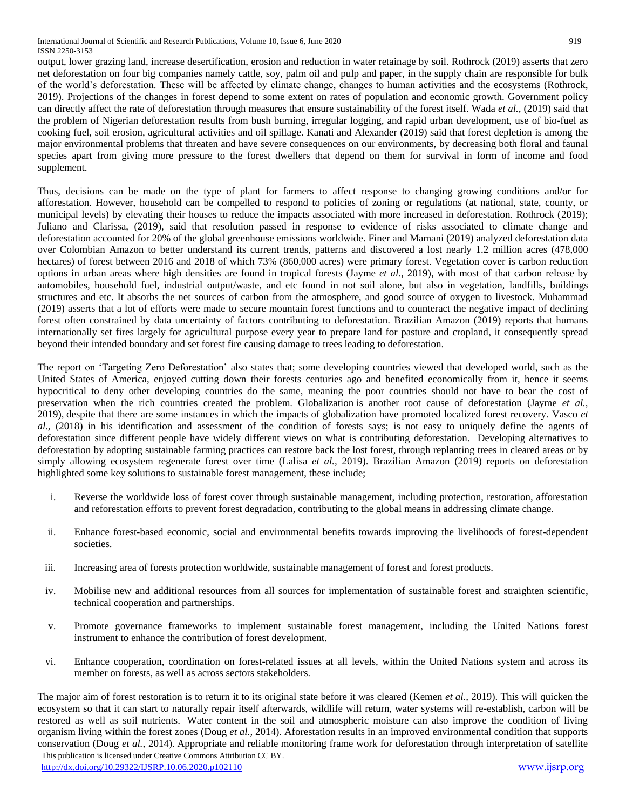International Journal of Scientific and Research Publications, Volume 10, Issue 6, June 2020 919 ISSN 2250-3153

output, lower grazing land, increase desertification, erosion and reduction in water retainage by soil. Rothrock (2019) asserts that zero net deforestation on four big companies namely cattle, soy, palm oil and pulp and paper, in the supply chain are responsible for bulk of the world's deforestation. These will be affected by climate change, changes to human activities and the ecosystems (Rothrock, 2019). Projections of the changes in forest depend to some extent on rates of population and economic growth. Government policy can directly affect the rate of deforestation through measures that ensure sustainability of the forest itself. Wada *et al.,* (2019) said that the problem of Nigerian deforestation results from bush burning, irregular logging, and rapid urban development, use of bio-fuel as cooking fuel, soil erosion, agricultural activities and oil spillage. Kanati and Alexander (2019) said that forest depletion is among the major environmental problems that threaten and have severe consequences on our environments, by decreasing both floral and faunal species apart from giving more pressure to the forest dwellers that depend on them for survival in form of income and food supplement.

Thus, decisions can be made on the type of plant for farmers to affect response to changing growing conditions and/or for afforestation. However, household can be compelled to respond to policies of zoning or regulations (at national, state, county, or municipal levels) by elevating their houses to reduce the impacts associated with more increased in deforestation. Rothrock (2019); Juliano and Clarissa, (2019), said that resolution passed in response to evidence of risks associated to climate change and deforestation accounted for 20% of the global greenhouse emissions worldwide. Finer and Mamani (2019) analyzed deforestation data over Colombian Amazon to better understand its current trends, patterns and discovered a lost nearly 1.2 million acres (478,000 hectares) of forest between 2016 and 2018 of which 73% (860,000 acres) were primary forest. Vegetation cover is carbon reduction options in urban areas where high densities are found in tropical forests (Jayme *et al.,* 2019), with most of that carbon release by automobiles, household fuel, industrial output/waste, and etc found in not soil alone, but also in vegetation, landfills, buildings structures and etc. It absorbs the net sources of carbon from the atmosphere, and good source of oxygen to livestock. Muhammad (2019) asserts that a lot of efforts were made to secure mountain forest functions and to counteract the negative impact of declining forest often constrained by data uncertainty of factors contributing to deforestation. Brazilian Amazon (2019) reports that humans internationally set fires largely for agricultural purpose every year to prepare land for pasture and cropland, it consequently spread beyond their intended boundary and set forest fire causing damage to trees leading to deforestation.

The report on 'Targeting Zero Deforestation' also states that; some developing countries viewed that developed world, such as the United States of America, enjoyed cutting down their forests centuries ago and benefited economically from it, hence it seems hypocritical to deny other developing countries do the same, meaning the poor countries should not have to bear the cost of preservation when the rich countries created the problem. Globalization is another root cause of deforestation (Jayme *et al.,* 2019), despite that there are some instances in which the impacts of globalization have promoted localized forest recovery. Vasco *et al.,* (2018) in his identification and assessment of the condition of forests says; is not easy to uniquely define the agents of deforestation since different people have widely different views on what is contributing deforestation. Developing alternatives to deforestation by adopting sustainable farming practices can restore back the lost forest, through replanting trees in cleared areas or by simply allowing ecosystem regenerate forest over time (Lalisa *et al.,* 2019). Brazilian Amazon (2019) reports on deforestation highlighted some key solutions to sustainable forest management, these include;

- i. Reverse the worldwide loss of forest cover through sustainable management, including protection, restoration, afforestation and reforestation efforts to prevent forest degradation, contributing to the global means in addressing climate change.
- ii. Enhance forest-based economic, social and environmental benefits towards improving the livelihoods of forest-dependent societies.
- iii. Increasing area of forests protection worldwide, sustainable management of forest and forest products.
- iv. Mobilise new and additional resources from all sources for implementation of sustainable forest and straighten scientific, technical cooperation and partnerships.
- v. Promote governance frameworks to implement sustainable forest management, including the United Nations forest instrument to enhance the contribution of forest development.
- vi. Enhance cooperation, coordination on forest-related issues at all levels, within the United Nations system and across its member on forests, as well as across sectors stakeholders.

 This publication is licensed under Creative Commons Attribution CC BY. The major aim of forest restoration is to return it to its original state before it was cleared (Kemen *et al.,* 2019). This will quicken the ecosystem so that it can start to naturally repair itself afterwards, wildlife will return, water systems will re-establish, carbon will be restored as well as soil nutrients. Water content in the soil and atmospheric moisture can also improve the condition of living organism living within the forest zones (Doug *et al.,* 2014). Aforestation results in an improved environmental condition that supports conservation (Doug *et al.,* 2014). Appropriate and reliable monitoring frame work for deforestation through interpretation of satellite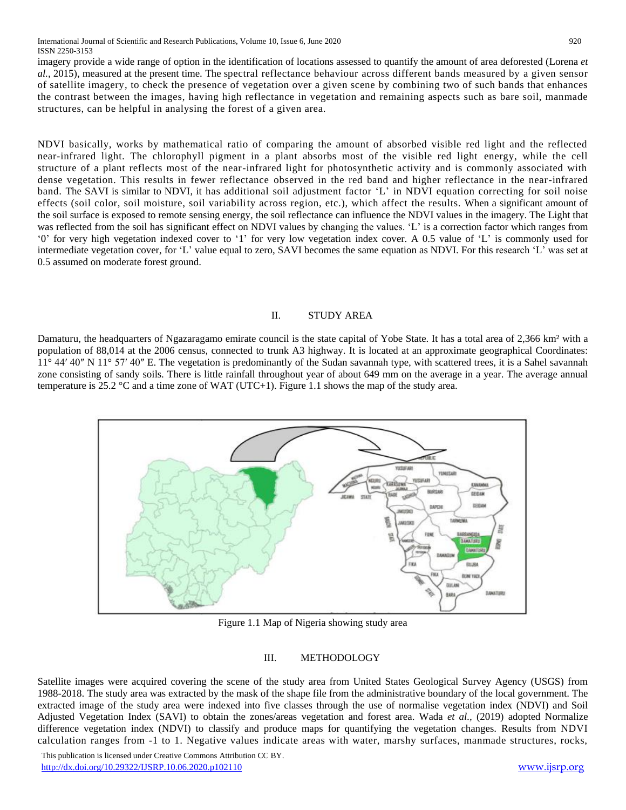International Journal of Scientific and Research Publications, Volume 10, Issue 6, June 2020 920 ISSN 2250-3153

imagery provide a wide range of option in the identification of locations assessed to quantify the amount of area deforested (Lorena *et al.,* 2015), measured at the present time. The spectral reflectance behaviour across different bands measured by a given sensor of satellite imagery, to check the presence of vegetation over a given scene by combining two of such bands that enhances the contrast between the images, having high reflectance in vegetation and remaining aspects such as bare soil, manmade structures, can be helpful in analysing the forest of a given area.

NDVI basically, works by mathematical ratio of comparing the amount of absorbed visible red light and the reflected near-infrared light. The chlorophyll pigment in a plant absorbs most of the visible red light energy, while the cell structure of a plant reflects most of the near-infrared light for photosynthetic activity and is commonly associated with dense vegetation. This results in fewer reflectance observed in the red band and higher reflectance in the near-infrared band. The SAVI is similar to NDVI, it has additional soil adjustment factor 'L' in NDVI equation correcting for soil noise effects (soil color, soil moisture, soil variability across region, etc.), which affect the results. When a significant amount of the soil surface is exposed to remote sensing energy, the soil reflectance can influence the NDVI values in the imagery. The Light that was reflected from the soil has significant effect on NDVI values by changing the values. 'L' is a correction factor which ranges from '0' for very high vegetation indexed cover to '1' for very low vegetation index cover. A 0.5 value of 'L' is commonly used for intermediate vegetation cover, for 'L' value equal to zero, SAVI becomes the same equation as NDVI. For this research 'L' was set at 0.5 assumed on moderate forest ground.

#### II. STUDY AREA

Damaturu, the headquarters of Ngazaragamo emirate council is the state capital of Yobe State. It has a total area of 2,366 km<sup>2</sup> with a population of 88,014 at the 2006 census, connected to trunk A3 highway. It is located at an approximate geographical Coordinates: 11° 44′ 40″ N 11° 57′ 40″ E. The vegetation is predominantly of the Sudan savannah type, with scattered trees, it is a Sahel savannah zone consisting of sandy soils. There is little rainfall throughout year of about 649 mm on the average in a year. The average annual temperature is 25.2  $\degree$ C and a time zone of WAT (UTC+1). Figure 1.1 shows the map of the study area.



Figure 1.1 Map of Nigeria showing study area

### III. METHODOLOGY

Satellite images were acquired covering the scene of the study area from United States Geological Survey Agency (USGS) from 1988-2018. The study area was extracted by the mask of the shape file from the administrative boundary of the local government. The extracted image of the study area were indexed into five classes through the use of normalise vegetation index (NDVI) and Soil Adjusted Vegetation Index (SAVI) to obtain the zones/areas vegetation and forest area. Wada *et al.,* (2019) adopted Normalize difference vegetation index (NDVI) to classify and produce maps for quantifying the vegetation changes. Results from NDVI calculation ranges from -1 to 1. Negative values indicate areas with water, marshy surfaces, manmade structures, rocks,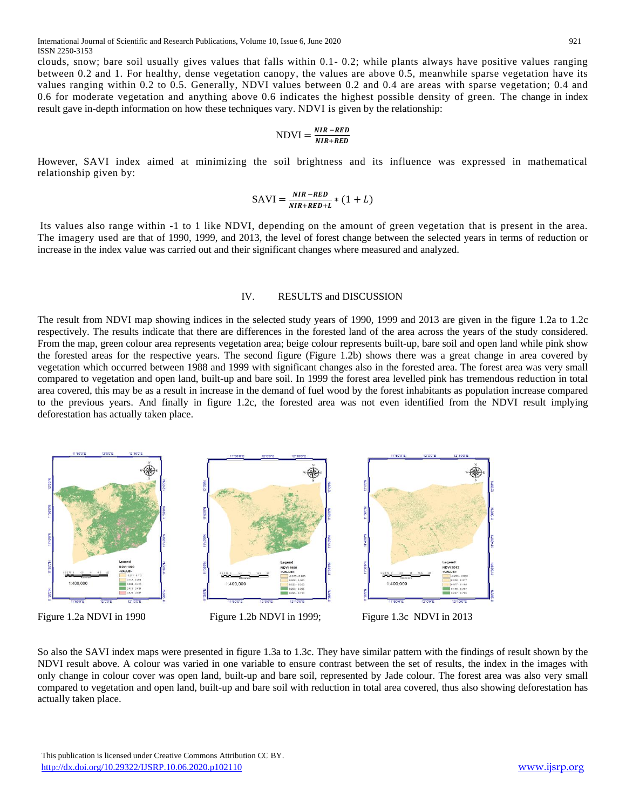clouds, snow; bare soil usually gives values that falls within 0.1- 0.2; while plants always have positive values ranging between 0.2 and 1. For healthy, dense vegetation canopy, the values are above 0.5, meanwhile sparse vegetation have its values ranging within 0.2 to 0.5. Generally, NDVI values between 0.2 and 0.4 are areas with sparse vegetation; 0.4 and 0.6 for moderate vegetation and anything above 0.6 indicates the highest possible density of green. The change in index result gave in-depth information on how these techniques vary. NDVI is given by the relationship:

$$
NDVI = \frac{NIR - RED}{NIR + RED}
$$

However, SAVI index aimed at minimizing the soil brightness and its influence was expressed in mathematical relationship given by:

$$
SAVI = \frac{NIR - RED}{NIR + RED + L} * (1 + L)
$$

Its values also range within -1 to 1 like NDVI, depending on the amount of green vegetation that is present in the area. The imagery used are that of 1990, 1999, and 2013, the level of forest change between the selected years in terms of reduction or increase in the index value was carried out and their significant changes where measured and analyzed.

#### IV. RESULTS and DISCUSSION

The result from NDVI map showing indices in the selected study years of 1990, 1999 and 2013 are given in the figure 1.2a to 1.2c respectively. The results indicate that there are differences in the forested land of the area across the years of the study considered. From the map, green colour area represents vegetation area; beige colour represents built-up, bare soil and open land while pink show the forested areas for the respective years. The second figure (Figure 1.2b) shows there was a great change in area covered by vegetation which occurred between 1988 and 1999 with significant changes also in the forested area. The forest area was very small compared to vegetation and open land, built-up and bare soil. In 1999 the forest area levelled pink has tremendous reduction in total area covered, this may be as a result in increase in the demand of fuel wood by the forest inhabitants as population increase compared to the previous years. And finally in figure 1.2c, the forested area was not even identified from the NDVI result implying deforestation has actually taken place.



So also the SAVI index maps were presented in figure 1.3a to 1.3c. They have similar pattern with the findings of result shown by the NDVI result above. A colour was varied in one variable to ensure contrast between the set of results, the index in the images with only change in colour cover was open land, built-up and bare soil, represented by Jade colour. The forest area was also very small compared to vegetation and open land, built-up and bare soil with reduction in total area covered, thus also showing deforestation has actually taken place.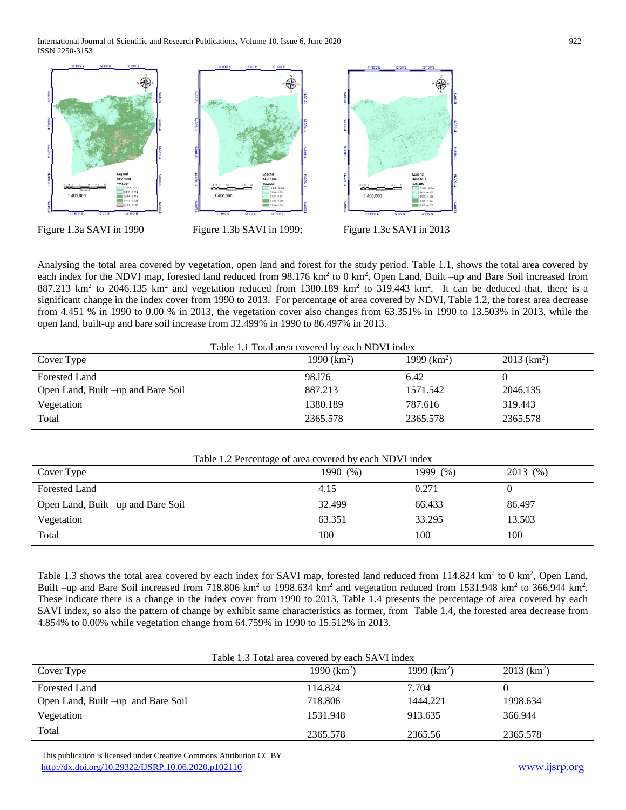International Journal of Scientific and Research Publications, Volume 10, Issue 6, June 2020 922 ISSN 2250-3153



Figure 1.3a SAVI in 1990 Figure 1.3b SAVI in 1999; Figure 1.3c SAVI in 2013

Analysing the total area covered by vegetation, open land and forest for the study period. Table 1.1, shows the total area covered by each index for the NDVI map, forested land reduced from 98.176 km<sup>2</sup> to 0 km<sup>2</sup>, Open Land, Built -up and Bare Soil increased from  $887.213$  km<sup>2</sup> to 2046.135 km<sup>2</sup> and vegetation reduced from 1380.189 km<sup>2</sup> to 319.443 km<sup>2</sup>. It can be deduced that, there is a significant change in the index cover from 1990 to 2013. For percentage of area covered by NDVI, Table 1.2, the forest area decrease from 4.451 % in 1990 to 0.00 % in 2013, the vegetation cover also changes from 63.351% in 1990 to 13.503% in 2013, while the open land, built-up and bare soil increase from 32.499% in 1990 to 86.497% in 2013.

| Table 1.1 Total area covered by each NDVI index |               |               |                           |
|-------------------------------------------------|---------------|---------------|---------------------------|
| Cover Type                                      | 1990 $(km^2)$ | 1999 $(km^2)$ | $2013$ (km <sup>2</sup> ) |
| <b>Forested Land</b>                            | 98.176        | 6.42          |                           |
| Open Land, Built -up and Bare Soil              | 887.213       | 1571.542      | 2046.135                  |
| Vegetation                                      | 1380.189      | 787.616       | 319.443                   |
| Total                                           | 2365.578      | 2365.578      | 2365.578                  |

| Table 1.2 Percentage of area covered by each NDVI index |          |          |          |
|---------------------------------------------------------|----------|----------|----------|
| Cover Type                                              | 1990 (%) | 1999 (%) | 2013 (%) |
| <b>Forested Land</b>                                    | 4.15     | 0.271    | 0        |
| Open Land, Built –up and Bare Soil                      | 32.499   | 66.433   | 86.497   |
| Vegetation                                              | 63.351   | 33.295   | 13.503   |
| Total                                                   | 100      | 100      | 100      |

Table 1.3 shows the total area covered by each index for SAVI map, forested land reduced from 114.824 km<sup>2</sup> to 0 km<sup>2</sup>, Open Land, Built –up and Bare Soil increased from 718.806 km<sup>2</sup> to 1998.634 km<sup>2</sup> and vegetation reduced from 1531.948 km<sup>2</sup> to 366.944 km<sup>2</sup>. These indicate there is a change in the index cover from 1990 to 2013. Table 1.4 presents the percentage of area covered by each SAVI index, so also the pattern of change by exhibit same characteristics as former, from Table 1.4, the forested area decrease from 4.854% to 0.00% while vegetation change from 64.759% in 1990 to 15.512% in 2013.

| Table 1.3 Total area covered by each SAVI index |               |               |                           |  |
|-------------------------------------------------|---------------|---------------|---------------------------|--|
| Cover Type                                      | 1990 $(km^2)$ | 1999 $(km^2)$ | $2013$ (km <sup>2</sup> ) |  |
| Forested Land                                   | 114.824       | 7.704         |                           |  |
| Open Land, Built –up and Bare Soil              | 718.806       | 1444.221      | 1998.634                  |  |
| Vegetation                                      | 1531.948      | 913.635       | 366.944                   |  |
| Total                                           | 2365.578      | 2365.56       | 2365.578                  |  |

 This publication is licensed under Creative Commons Attribution CC BY. <http://dx.doi.org/10.29322/IJSRP.10.06.2020.p102110> [www.ijsrp.org](http://ijsrp.org/)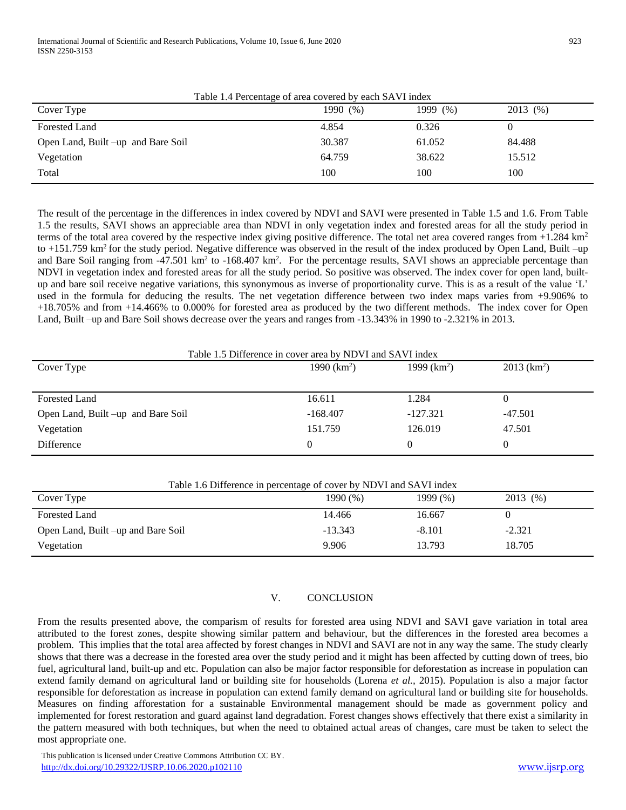| Table 1.4 Percentage of area covered by each SAVI index |          |             |          |
|---------------------------------------------------------|----------|-------------|----------|
| Cover Type                                              | 1990 (%) | 1999 $(\%)$ | 2013 (%) |
| <b>Forested Land</b>                                    | 4.854    | 0.326       |          |
| Open Land, Built -up and Bare Soil                      | 30.387   | 61.052      | 84.488   |
| Vegetation                                              | 64.759   | 38.622      | 15.512   |
| Total                                                   | 100      | 100         | 100      |

The result of the percentage in the differences in index covered by NDVI and SAVI were presented in Table 1.5 and 1.6. From Table 1.5 the results, SAVI shows an appreciable area than NDVI in only vegetation index and forested areas for all the study period in terms of the total area covered by the respective index giving positive difference. The total net area covered ranges from  $+1.284 \text{ km}^2$ to  $+151.759$  km<sup>2</sup> for the study period. Negative difference was observed in the result of the index produced by Open Land, Built –up and Bare Soil ranging from  $-47.501 \text{ km}^2$  to  $-168.407 \text{ km}^2$ . For the percentage results, SAVI shows an appreciable percentage than NDVI in vegetation index and forested areas for all the study period. So positive was observed. The index cover for open land, builtup and bare soil receive negative variations, this synonymous as inverse of proportionality curve. This is as a result of the value 'L' used in the formula for deducing the results. The net vegetation difference between two index maps varies from +9.906% to +18.705% and from +14.466% to 0.000% for forested area as produced by the two different methods. The index cover for Open Land, Built –up and Bare Soil shows decrease over the years and ranges from -13.343% in 1990 to -2.321% in 2013.

| Table 1.5 Difference in cover area by NDVI and SAVI index |               |               |                           |
|-----------------------------------------------------------|---------------|---------------|---------------------------|
| Cover Type                                                | 1990 $(km^2)$ | 1999 $(km^2)$ | $2013$ (km <sup>2</sup> ) |
|                                                           |               |               |                           |
| <b>Forested Land</b>                                      | 16.611        | 1.284         |                           |
| Open Land, Built –up and Bare Soil                        | $-168,407$    | $-127.321$    | $-47.501$                 |
| Vegetation                                                | 151.759       | 126.019       | 47.501                    |
| Difference                                                |               | 0             |                           |

| Table 1.6 Difference in percentage of cover by NDVI and SAVI index |           |          |          |
|--------------------------------------------------------------------|-----------|----------|----------|
| Cover Type                                                         | 1990 (%)  | 1999 (%) | 2013 (%) |
| Forested Land                                                      | 14.466    | 16.667   |          |
| Open Land, Built –up and Bare Soil                                 | $-13.343$ | $-8.101$ | $-2.321$ |
| Vegetation                                                         | 9.906     | 13.793   | 18.705   |

# V. CONCLUSION

From the results presented above, the comparism of results for forested area using NDVI and SAVI gave variation in total area attributed to the forest zones, despite showing similar pattern and behaviour, but the differences in the forested area becomes a problem. This implies that the total area affected by forest changes in NDVI and SAVI are not in any way the same. The study clearly shows that there was a decrease in the forested area over the study period and it might has been affected by cutting down of trees, bio fuel, agricultural land, built-up and etc. Population can also be major factor responsible for deforestation as increase in population can extend family demand on agricultural land or building site for households (Lorena *et al.,* 2015). Population is also a major factor responsible for deforestation as increase in population can extend family demand on agricultural land or building site for households. Measures on finding afforestation for a sustainable Environmental management should be made as government policy and implemented for forest restoration and guard against land degradation. Forest changes shows effectively that there exist a similarity in the pattern measured with both techniques, but when the need to obtained actual areas of changes, care must be taken to select the most appropriate one.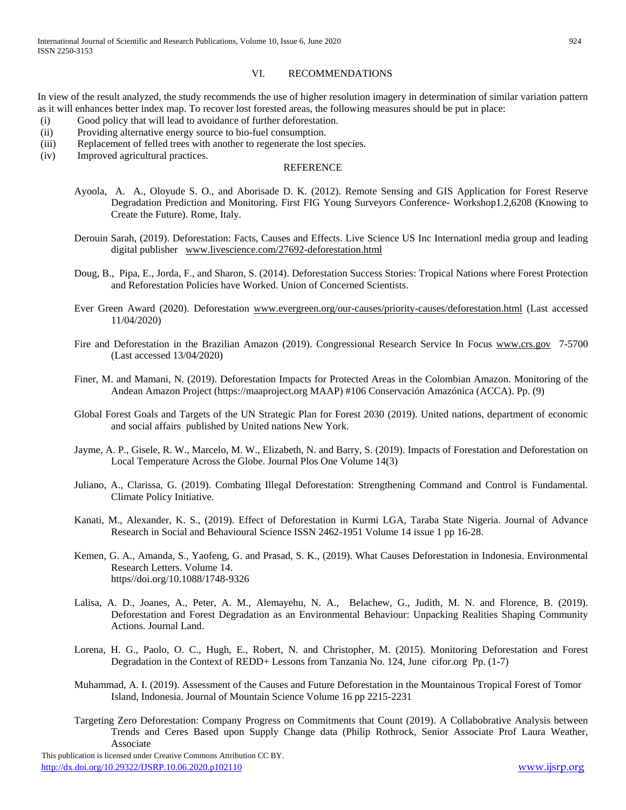#### VI. RECOMMENDATIONS

In view of the result analyzed, the study recommends the use of higher resolution imagery in determination of similar variation pattern as it will enhances better index map. To recover lost forested areas, the following measures should be put in place:

- (i) Good policy that will lead to avoidance of further deforestation.
- (ii) Providing alternative energy source to bio-fuel consumption.
- (iii) Replacement of felled trees with another to regenerate the lost species.
- (iv) Improved agricultural practices.

#### **REFERENCE**

- Ayoola, A. A., Oloyude S. O., and Aborisade D. K. (2012). Remote Sensing and GIS Application for Forest Reserve Degradation Prediction and Monitoring. First FIG Young Surveyors Conference- Workshop1.2,6208 (Knowing to Create the Future). Rome, Italy.
- Derouin Sarah, (2019). Deforestation: Facts, Causes and Effects. Live Science US Inc Internationl media group and leading digital publisher [www.livescience.com/27692-deforestation.html](http://www.livescience.com/27692-deforestation.html)
- Doug, B., Pipa, E., Jorda, F., and Sharon, S. (2014). Deforestation Success Stories: Tropical Nations where Forest Protection and Reforestation Policies have Worked. Union of Concerned Scientists.
- Ever Green Award (2020). Deforestation [www.evergreen.org/our-causes/priority-causes/deforestation.html](http://www.evergreen.org/our-causes/priority-causes/deforestation.html) (Last accessed 11/04/2020)
- Fire and Deforestation in the Brazilian Amazon (2019). Congressional Research Service In Focus [www.crs.gov](http://www.crs.gov/) 7-5700 (Last accessed 13/04/2020)
- Finer, M. and Mamani, N. (2019). Deforestation Impacts for Protected Areas in the Colombian Amazon. Monitoring of the Andean Amazon Project (https://maaproject.org MAAP) #106 Conservación Amazónica (ACCA). Pp. (9)
- Global Forest Goals and Targets of the UN Strategic Plan for Forest 2030 (2019). United nations, department of economic and social affairs published by United nations New York.
- Jayme, A. P., Gisele, R. W., Marcelo, M. W., Elizabeth, N. and Barry, S. (2019). Impacts of Forestation and Deforestation on Local Temperature Across the Globe. Journal Plos One Volume 14(3)
- Juliano, A., Clarissa, G. (2019). Combating Illegal Deforestation: Strengthening Command and Control is Fundamental. Climate Policy Initiative.
- Kanati, M., Alexander, K. S., (2019). Effect of Deforestation in Kurmi LGA, Taraba State Nigeria. Journal of Advance Research in Social and Behavioural Science ISSN 2462-1951 Volume 14 issue 1 pp 16-28.
- Kemen, G. A., Amanda, S., Yaofeng, G. and Prasad, S. K., (2019). What Causes Deforestation in Indonesia. Environmental Research Letters. Volume 14. https//doi.org/10.1088/1748-9326
- Lalisa, A. D., Joanes, A., Peter, A. M., Alemayehu, N. A., Belachew, G., Judith, M. N. and Florence, B. (2019). Deforestation and Forest Degradation as an Environmental Behaviour: Unpacking Realities Shaping Community Actions. Journal Land.
- Lorena, H. G., Paolo, O. C., Hugh, E., Robert, N. and Christopher, M. (2015). Monitoring Deforestation and Forest Degradation in the Context of REDD+ Lessons from Tanzania No. 124, June cifor.org Pp. (1-7)
- Muhammad, A. I. (2019). Assessment of the Causes and Future Deforestation in the Mountainous Tropical Forest of Tomor Island, Indonesia. Journal of Mountain Science Volume 16 pp 2215-2231
- Targeting Zero Deforestation: Company Progress on Commitments that Count (2019). A Collabobrative Analysis between Trends and Ceres Based upon Supply Change data (Philip Rothrock, Senior Associate Prof Laura Weather, Associate

 This publication is licensed under Creative Commons Attribution CC BY. <http://dx.doi.org/10.29322/IJSRP.10.06.2020.p102110> [www.ijsrp.org](http://ijsrp.org/)